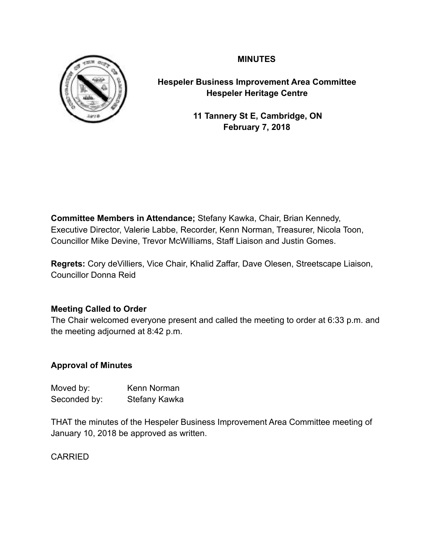# **MINUTES**



**Hespeler Business Improvement Area Committee Hespeler Heritage Centre**

> **11 Tannery St E, Cambridge, ON February 7, 2018**

**Committee Members in Attendance;** Stefany Kawka, Chair, Brian Kennedy, Executive Director, Valerie Labbe, Recorder, Kenn Norman, Treasurer, Nicola Toon, Councillor Mike Devine, Trevor McWilliams, Staff Liaison and Justin Gomes.

**Regrets:** Cory deVilliers, Vice Chair, Khalid Zaffar, Dave Olesen, Streetscape Liaison, Councillor Donna Reid

# **Meeting Called to Order**

The Chair welcomed everyone present and called the meeting to order at 6:33 p.m. and the meeting adjourned at 8:42 p.m.

# **Approval of Minutes**

| Moved by:    | Kenn Norman          |
|--------------|----------------------|
| Seconded by: | <b>Stefany Kawka</b> |

THAT the minutes of the Hespeler Business Improvement Area Committee meeting of January 10, 2018 be approved as written.

CARRIED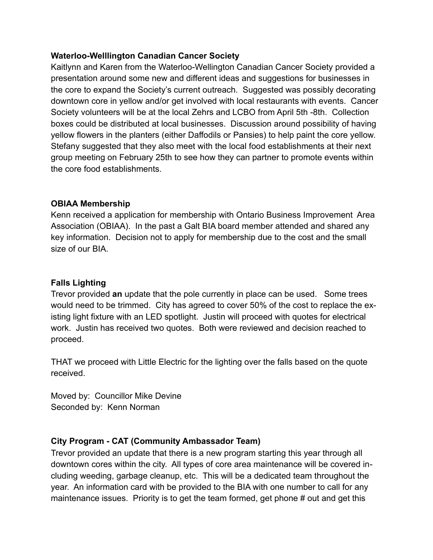### **Waterloo-Welllington Canadian Cancer Society**

Kaitlynn and Karen from the Waterloo-Wellington Canadian Cancer Society provided a presentation around some new and different ideas and suggestions for businesses in the core to expand the Society's current outreach. Suggested was possibly decorating downtown core in yellow and/or get involved with local restaurants with events. Cancer Society volunteers will be at the local Zehrs and LCBO from April 5th -8th. Collection boxes could be distributed at local businesses. Discussion around possibility of having yellow flowers in the planters (either Daffodils or Pansies) to help paint the core yellow. Stefany suggested that they also meet with the local food establishments at their next group meeting on February 25th to see how they can partner to promote events within the core food establishments.

# **OBIAA Membership**

Kenn received a application for membership with Ontario Business Improvement Area Association (OBIAA). In the past a Galt BIA board member attended and shared any key information. Decision not to apply for membership due to the cost and the small size of our BIA.

# **Falls Lighting**

Trevor provided **an** update that the pole currently in place can be used. Some trees would need to be trimmed. City has agreed to cover 50% of the cost to replace the existing light fixture with an LED spotlight. Justin will proceed with quotes for electrical work. Justin has received two quotes. Both were reviewed and decision reached to proceed.

THAT we proceed with Little Electric for the lighting over the falls based on the quote received.

Moved by: Councillor Mike Devine Seconded by: Kenn Norman

# **City Program - CAT (Community Ambassador Team)**

Trevor provided an update that there is a new program starting this year through all downtown cores within the city. All types of core area maintenance will be covered including weeding, garbage cleanup, etc. This will be a dedicated team throughout the year. An information card with be provided to the BIA with one number to call for any maintenance issues. Priority is to get the team formed, get phone # out and get this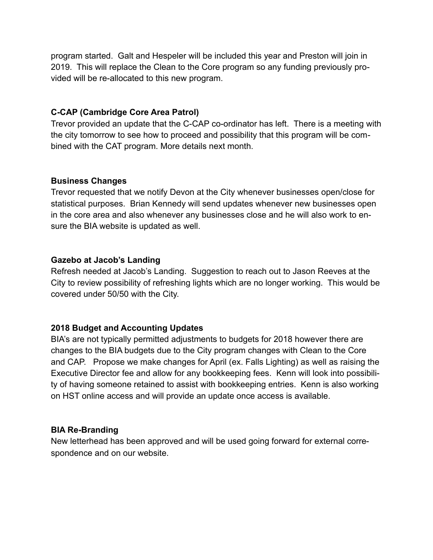program started. Galt and Hespeler will be included this year and Preston will join in 2019. This will replace the Clean to the Core program so any funding previously provided will be re-allocated to this new program.

# **C-CAP (Cambridge Core Area Patrol)**

Trevor provided an update that the C-CAP co-ordinator has left. There is a meeting with the city tomorrow to see how to proceed and possibility that this program will be combined with the CAT program. More details next month.

#### **Business Changes**

Trevor requested that we notify Devon at the City whenever businesses open/close for statistical purposes. Brian Kennedy will send updates whenever new businesses open in the core area and also whenever any businesses close and he will also work to ensure the BIA website is updated as well.

#### **Gazebo at Jacob's Landing**

Refresh needed at Jacob's Landing. Suggestion to reach out to Jason Reeves at the City to review possibility of refreshing lights which are no longer working. This would be covered under 50/50 with the City.

# **2018 Budget and Accounting Updates**

BIA's are not typically permitted adjustments to budgets for 2018 however there are changes to the BIA budgets due to the City program changes with Clean to the Core and CAP. Propose we make changes for April (ex. Falls Lighting) as well as raising the Executive Director fee and allow for any bookkeeping fees. Kenn will look into possibility of having someone retained to assist with bookkeeping entries. Kenn is also working on HST online access and will provide an update once access is available.

# **BIA Re-Branding**

New letterhead has been approved and will be used going forward for external correspondence and on our website.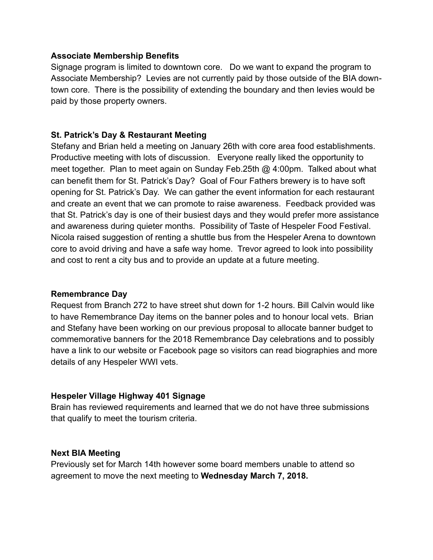#### **Associate Membership Benefits**

Signage program is limited to downtown core. Do we want to expand the program to Associate Membership? Levies are not currently paid by those outside of the BIA downtown core. There is the possibility of extending the boundary and then levies would be paid by those property owners.

#### **St. Patrick's Day & Restaurant Meeting**

Stefany and Brian held a meeting on January 26th with core area food establishments. Productive meeting with lots of discussion. Everyone really liked the opportunity to meet together. Plan to meet again on Sunday Feb.25th @ 4:00pm. Talked about what can benefit them for St. Patrick's Day? Goal of Four Fathers brewery is to have soft opening for St. Patrick's Day. We can gather the event information for each restaurant and create an event that we can promote to raise awareness. Feedback provided was that St. Patrick's day is one of their busiest days and they would prefer more assistance and awareness during quieter months. Possibility of Taste of Hespeler Food Festival. Nicola raised suggestion of renting a shuttle bus from the Hespeler Arena to downtown core to avoid driving and have a safe way home. Trevor agreed to look into possibility and cost to rent a city bus and to provide an update at a future meeting.

#### **Remembrance Day**

Request from Branch 272 to have street shut down for 1-2 hours. Bill Calvin would like to have Remembrance Day items on the banner poles and to honour local vets. Brian and Stefany have been working on our previous proposal to allocate banner budget to commemorative banners for the 2018 Remembrance Day celebrations and to possibly have a link to our website or Facebook page so visitors can read biographies and more details of any Hespeler WWI vets.

#### **Hespeler Village Highway 401 Signage**

Brain has reviewed requirements and learned that we do not have three submissions that qualify to meet the tourism criteria.

#### **Next BIA Meeting**

Previously set for March 14th however some board members unable to attend so agreement to move the next meeting to **Wednesday March 7, 2018.**